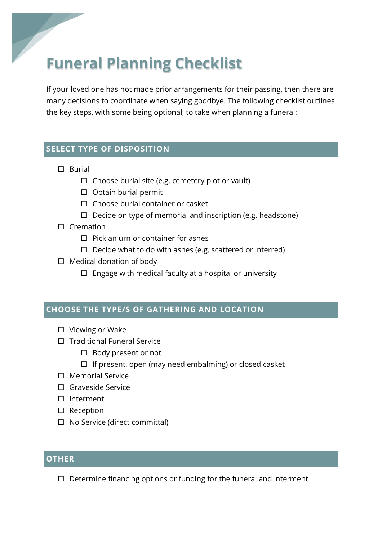# **Funeral Planning Checklist**

If your loved one has not made prior arrangements for their passing, then there are many decisions to coordinate when saying goodbye. The following checklist outlines the key steps, with some being optional, to take when planning a funeral:

## **SELECT TYPE OF DISPOSITION**

- $\square$  Burial
	- $\Box$  Choose burial site (e.g. cemetery plot or vault)
	- $\square$  Obtain burial permit
	- $\Box$  Choose burial container or casket
	- $\Box$  Decide on type of memorial and inscription (e.g. headstone)
- $\square$  Cremation
	- $\Box$  Pick an urn or container for ashes
	- $\Box$  Decide what to do with ashes (e.g. scattered or interred)
- $\square$  Medical donation of body
	- $\square$  Engage with medical faculty at a hospital or university

#### **CHOOSE THE TYPE/S OF GATHERING AND LOCATION**

- $\square$  Viewing or Wake
- $\Box$  Traditional Funeral Service
	- $\Box$  Body present or not
	- $\Box$  If present, open (may need embalming) or closed casket
- $\square$  Memorial Service
- □ Graveside Service
- □ Interment
- $\square$  Reception
- $\square$  No Service (direct committal)

#### **OTHER**

 $\Box$  Determine financing options or funding for the funeral and interment